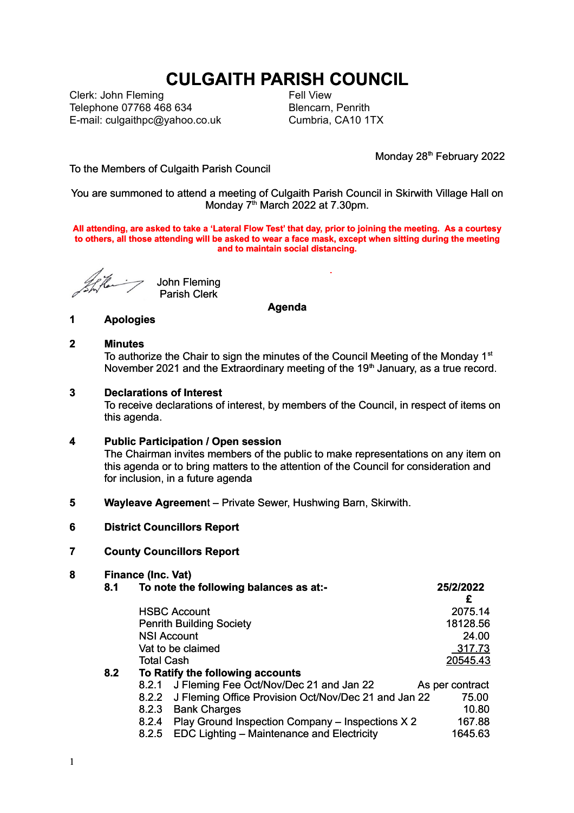# **CULGAITH PARISH COUNCIL**

Clerk: John Fleming Telephone 07768 468 634 E-mail: culgaithpc@yahoo.co.uk Fell View Blencarn, Penrith Cumbria, CA10 1TX

.

Monday 28<sup>th</sup> February 2022

To the Members of Culgaith Parish Council

You are summoned to attend a meeting of Culgaith Parish Council in Skirwith Village Hall on Monday  $7<sup>th</sup>$  March 2022 at 7.30pm.

**All attending, are asked to take a 'Lateral Flow Test' that day, prior to joining the meeting. As a courtesy to others, all those attending will be asked to wear a face mask, except when sitting during the meeting and to maintain social distancing.**

John Fleming

Parish Clerk

**Agenda**

# **1 Apologies**

### **2 Minutes**

To authorize the Chair to sign the minutes of the Council Meeting of the Monday 1<sup>st</sup> November 2021 and the Extraordinary meeting of the 19<sup>th</sup> January, as a true record.

#### **3 Declarations of Interest**

To receive declarations of interest, by members of the Council, in respect of items on this agenda.

#### **4 Public Participation / Open session**

The Chairman invites members of the public to make representations on any item on this agenda or to bring matters to the attention of the Council for consideration and for inclusion, in a future agenda

**5 Wayleave Agreemen**t – Private Sewer, Hushwing Barn, Skirwith.

# **6 District Councillors Report**

#### **7 County Councillors Report**

#### **8 Finance (Inc. Vat)**

| 8.1 |                                  | To note the following balances as at:-               | 25/2/2022       |
|-----|----------------------------------|------------------------------------------------------|-----------------|
|     |                                  |                                                      | £               |
|     |                                  | <b>HSBC Account</b>                                  | 2075.14         |
|     | <b>Penrith Building Society</b>  | 18128.56                                             |                 |
|     | <b>NSI Account</b>               | 24.00                                                |                 |
|     | Vat to be claimed                | 317.73                                               |                 |
|     | <b>Total Cash</b>                |                                                      | 20545.43        |
| 8.2 | To Ratify the following accounts |                                                      |                 |
|     | 8.2.1                            | J Fleming Fee Oct/Nov/Dec 21 and Jan 22              | As per contract |
|     | 8.2.2                            | J Fleming Office Provision Oct/Nov/Dec 21 and Jan 22 | 75.00           |
|     | 8.2.3                            | <b>Bank Charges</b>                                  | 10.80           |
|     | 8.2.4                            | Play Ground Inspection Company - Inspections X 2     | 167.88          |
|     | 8.2.5                            | EDC Lighting - Maintenance and Electricity           | 1645.63         |